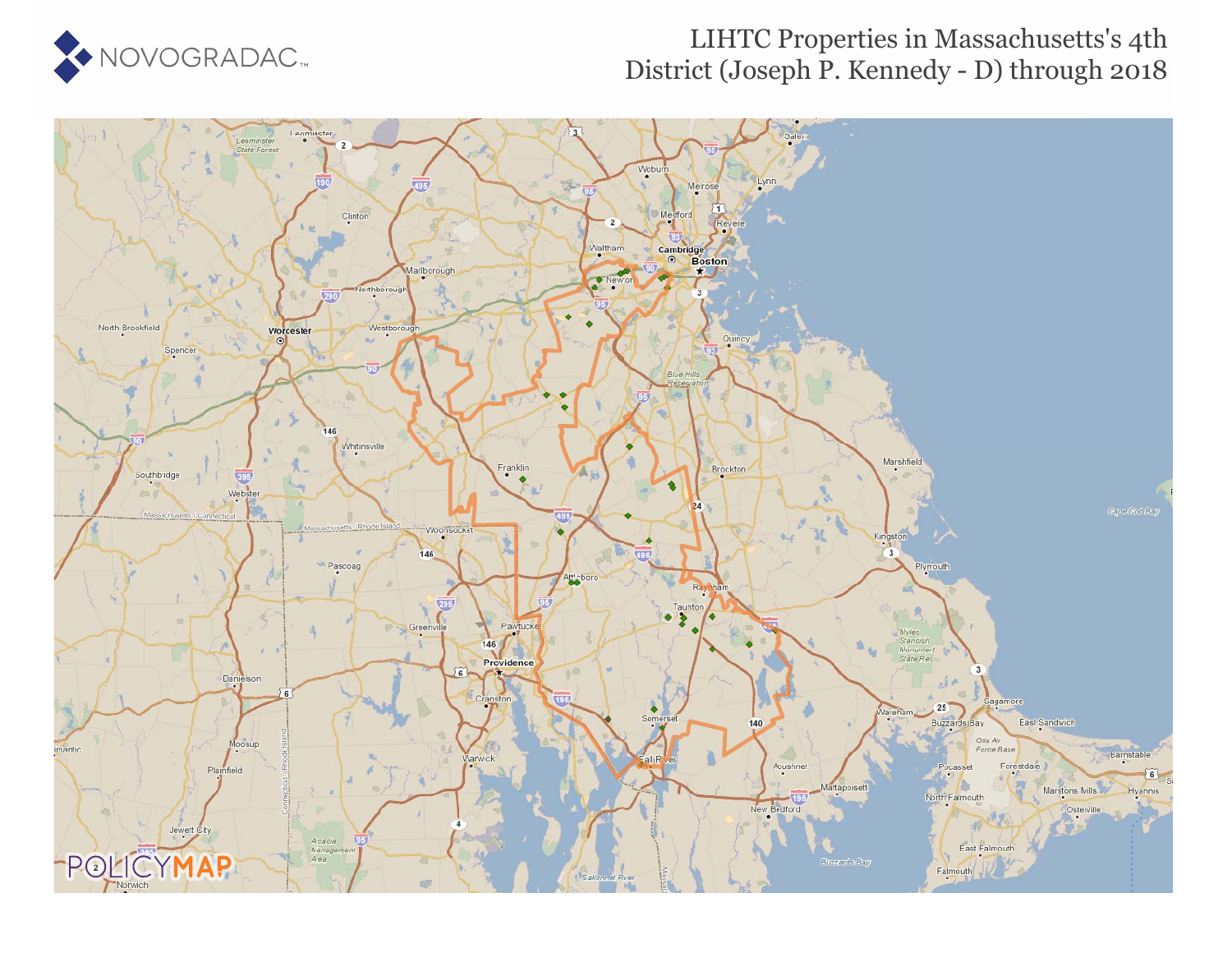

## LIHTC Properties in Massachusetts's 4th District (Joseph P. Kennedy - D) through 2018

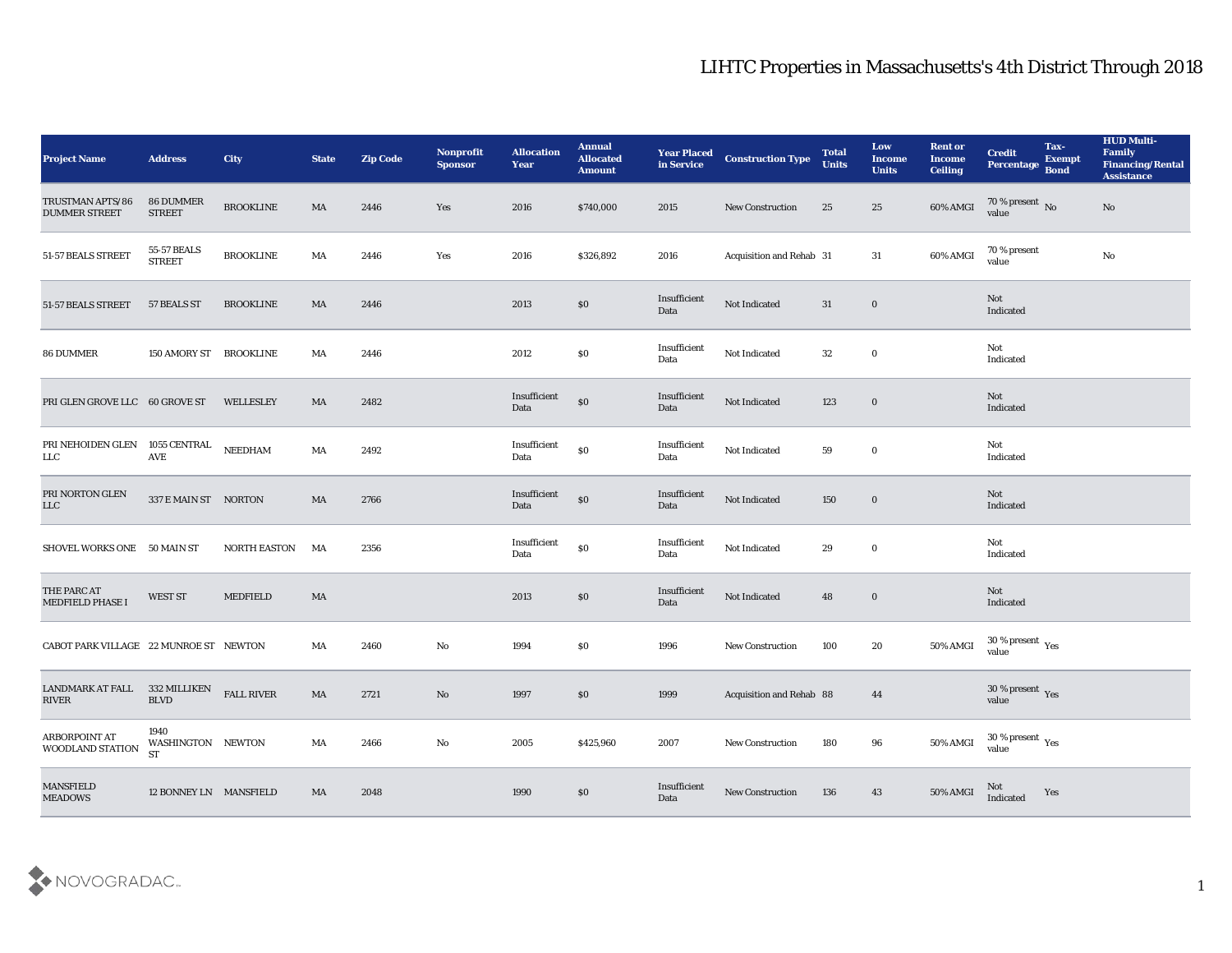## LIHTC Properties in Massachusetts's 4th District Through 2018

| <b>Project Name</b>                                   | <b>Address</b>                    | <b>City</b>         | <b>State</b> | <b>Zip Code</b> | Nonprofit<br><b>Sponsor</b> | <b>Allocation</b><br><b>Year</b> | <b>Annual</b><br><b>Allocated</b><br><b>Amount</b> | <b>Year Placed</b><br>in Service | <b>Construction Type</b> | <b>Total</b><br><b>Units</b> | Low<br><b>Income</b><br><b>Units</b> | <b>Rent or</b><br><b>Income</b><br><b>Ceiling</b> | <b>Credit</b><br>Percentage Bond       | Tax-<br><b>Exempt</b> | <b>HUD Multi-</b><br>Family<br><b>Financing/Rental</b><br><b>Assistance</b> |
|-------------------------------------------------------|-----------------------------------|---------------------|--------------|-----------------|-----------------------------|----------------------------------|----------------------------------------------------|----------------------------------|--------------------------|------------------------------|--------------------------------------|---------------------------------------------------|----------------------------------------|-----------------------|-----------------------------------------------------------------------------|
| TRUSTMAN APTS/86<br><b>DUMMER STREET</b>              | <b>86 DUMMER</b><br><b>STREET</b> | <b>BROOKLINE</b>    | MA           | 2446            | Yes                         | 2016                             | \$740,000                                          | 2015                             | New Construction         | 25                           | 25                                   | 60% AMGI                                          | 70 % present No<br>value               |                       | No                                                                          |
| 51-57 BEALS STREET                                    | 55-57 BEALS<br><b>STREET</b>      | <b>BROOKLINE</b>    | MA           | 2446            | Yes                         | 2016                             | \$326,892                                          | 2016                             | Acquisition and Rehab 31 |                              | 31                                   | 60% AMGI                                          | 70 % present<br>value                  |                       | $\mathbf{N}\mathbf{o}$                                                      |
| 51-57 BEALS STREET                                    | 57 BEALS ST                       | <b>BROOKLINE</b>    | MA           | 2446            |                             | 2013                             | $\$0$                                              | Insufficient<br>Data             | Not Indicated            | 31                           | $\bf{0}$                             |                                                   | Not<br>Indicated                       |                       |                                                                             |
| <b>86 DUMMER</b>                                      | 150 AMORY ST BROOKLINE            |                     | MA           | 2446            |                             | 2012                             | $\$0$                                              | Insufficient<br>Data             | Not Indicated            | 32                           | $\bf{0}$                             |                                                   | Not<br>Indicated                       |                       |                                                                             |
| PRI GLEN GROVE LLC 60 GROVE ST                        |                                   | WELLESLEY           | MA           | 2482            |                             | Insufficient<br>Data             | \$0                                                | Insufficient<br>Data             | Not Indicated            | 123                          | $\bf{0}$                             |                                                   | Not<br>Indicated                       |                       |                                                                             |
| PRI NEHOIDEN GLEN 1055 CENTRAL NEEDHAM<br>${\rm LLC}$ | AVE                               |                     | MA           | 2492            |                             | Insufficient<br>Data             | $\boldsymbol{\mathsf{S}}\boldsymbol{\mathsf{0}}$   | Insufficient<br>Data             | Not Indicated            | 59                           | $\bf{0}$                             |                                                   | Not<br>Indicated                       |                       |                                                                             |
| PRI NORTON GLEN<br>LLC                                | 337 E MAIN ST NORTON              |                     | MA           | 2766            |                             | Insufficient<br>Data             | \$0                                                | Insufficient<br>Data             | Not Indicated            | 150                          | $\bf{0}$                             |                                                   | Not<br>Indicated                       |                       |                                                                             |
| SHOVEL WORKS ONE 50 MAIN ST                           |                                   | <b>NORTH EASTON</b> | MA           | 2356            |                             | Insufficient<br>Data             | $\$0$                                              | Insufficient<br>Data             | Not Indicated            | 29                           | $\bf{0}$                             |                                                   | Not<br>Indicated                       |                       |                                                                             |
| THE PARC AT<br><b>MEDFIELD PHASE I</b>                | WEST ST                           | MEDFIELD            | MA           |                 |                             | 2013                             | $\$0$                                              | Insufficient<br>Data             | Not Indicated            | 48                           | $\bf{0}$                             |                                                   | Not<br>Indicated                       |                       |                                                                             |
| CABOT PARK VILLAGE 22 MUNROE ST NEWTON                |                                   |                     | MA           | 2460            | No                          | 1994                             | \$0                                                | 1996                             | <b>New Construction</b>  | 100                          | 20                                   | 50% AMGI                                          | $30\,\%$ present $\,$ Yes value        |                       |                                                                             |
| <b>LANDMARK AT FALL</b><br>RIVER                      | 332 MILLIKEN<br><b>BLVD</b>       | <b>FALL RIVER</b>   | MA           | 2721            | No                          | 1997                             | $\$0$                                              | 1999                             | Acquisition and Rehab 88 |                              | 44                                   |                                                   | 30 % present Yes<br>value              |                       |                                                                             |
| ARBORPOINT AT<br>WOODLAND STATION                     | 1940<br>WASHINGTON NEWTON<br>ST   |                     | MA           | 2466            | $\mathbf{N}\mathbf{o}$      | 2005                             | \$425,960                                          | 2007                             | New Construction         | 180                          | $96\,$                               | <b>50% AMGI</b>                                   | $30$ % present $\,$ $\rm Yes$<br>value |                       |                                                                             |
| <b>MANSFIELD</b><br><b>MEADOWS</b>                    | 12 BONNEY LN MANSFIELD            |                     | MA           | 2048            |                             | 1990                             | \$0                                                | Insufficient<br>Data             | <b>New Construction</b>  | 136                          | 43                                   | 50% AMGI                                          | Not<br>Indicated                       | Yes                   |                                                                             |

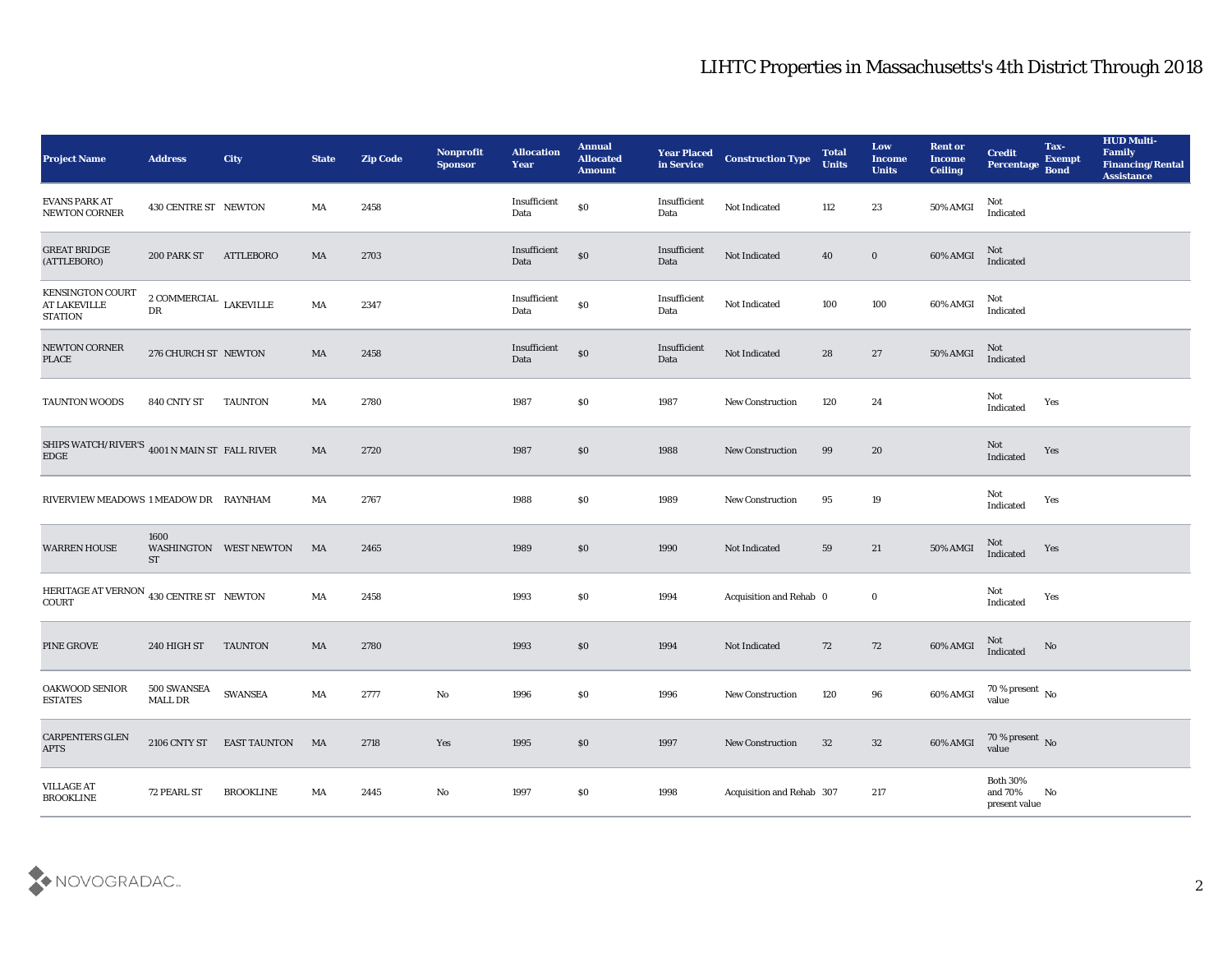## LIHTC Properties in Massachusetts's 4th District Through 2018

| <b>Project Name</b>                                                    | <b>Address</b>                         | <b>City</b>               | <b>State</b> | <b>Zip Code</b> | Nonprofit<br><b>Sponsor</b> | <b>Allocation</b><br>Year | <b>Annual</b><br><b>Allocated</b><br><b>Amount</b> | <b>Year Placed</b><br>in Service | <b>Construction Type</b>  | <b>Total</b><br><b>Units</b> | Low<br><b>Income</b><br><b>Units</b> | <b>Rent or</b><br><b>Income</b><br><b>Ceiling</b> | <b>Credit</b><br><b>Percentage</b>         | Tax-<br><b>Exempt</b><br><b>Bond</b> | <b>HUD Multi-</b><br>Family<br><b>Financing/Rental</b><br><b>Assistance</b> |
|------------------------------------------------------------------------|----------------------------------------|---------------------------|--------------|-----------------|-----------------------------|---------------------------|----------------------------------------------------|----------------------------------|---------------------------|------------------------------|--------------------------------------|---------------------------------------------------|--------------------------------------------|--------------------------------------|-----------------------------------------------------------------------------|
| <b>EVANS PARK AT</b><br><b>NEWTON CORNER</b>                           | 430 CENTRE ST NEWTON                   |                           | MA           | 2458            |                             | Insufficient<br>Data      | \$0                                                | Insufficient<br>Data             | Not Indicated             | 112                          | 23                                   | 50% AMGI                                          | Not<br>Indicated                           |                                      |                                                                             |
| <b>GREAT BRIDGE</b><br>(ATTLEBORO)                                     | 200 PARK ST                            | <b>ATTLEBORO</b>          | MA           | 2703            |                             | Insufficient<br>Data      | $\$0$                                              | Insufficient<br>Data             | Not Indicated             | 40                           | $\bf{0}$                             | 60% AMGI                                          | Not<br>Indicated                           |                                      |                                                                             |
| KENSINGTON COURT<br>AT LAKEVILLE<br><b>STATION</b>                     | $\,$ 2 COMMERCIAL $\,$ LAKEVILLE<br>DR |                           | MA           | 2347            |                             | Insufficient<br>Data      | \$0                                                | Insufficient<br>Data             | Not Indicated             | 100                          | 100                                  | 60% AMGI                                          | Not<br>Indicated                           |                                      |                                                                             |
| NEWTON CORNER<br>PLACE                                                 | 276 CHURCH ST NEWTON                   |                           | MA           | 2458            |                             | Insufficient<br>Data      | \$0                                                | Insufficient<br>Data             | Not Indicated             | 28                           | $\bf 27$                             | 50% AMGI                                          | Not<br>Indicated                           |                                      |                                                                             |
| <b>TAUNTON WOODS</b>                                                   | 840 CNTY ST                            | <b>TAUNTON</b>            | MA           | 2780            |                             | 1987                      | \$0                                                | 1987                             | <b>New Construction</b>   | 120                          | 24                                   |                                                   | Not<br>Indicated                           | Yes                                  |                                                                             |
| SHIPS WATCH/RIVER'S 4001 N MAIN ST FALL RIVER<br>EDGE                  |                                        |                           | MA           | 2720            |                             | 1987                      | \$0                                                | 1988                             | <b>New Construction</b>   | 99                           | 20                                   |                                                   | <b>Not</b><br>Indicated                    | Yes                                  |                                                                             |
| RIVERVIEW MEADOWS 1 MEADOW DR RAYNHAM                                  |                                        |                           | MA           | 2767            |                             | 1988                      | \$0                                                | 1989                             | <b>New Construction</b>   | 95                           | 19                                   |                                                   | Not<br>Indicated                           | Yes                                  |                                                                             |
| <b>WARREN HOUSE</b>                                                    | 1600<br><b>ST</b>                      | WASHINGTON WEST NEWTON    | MA           | 2465            |                             | 1989                      | $\$0$                                              | 1990                             | Not Indicated             | 59                           | 21                                   | 50% AMGI                                          | Not<br>Indicated                           | Yes                                  |                                                                             |
| HERITAGE AT VERNON $\,$ 430 CENTRE ST $\,$ NEWTON $\,$<br><b>COURT</b> |                                        |                           | MA           | 2458            |                             | 1993                      | \$0                                                | 1994                             | Acquisition and Rehab 0   |                              | $\bf{0}$                             |                                                   | Not<br>Indicated                           | Yes                                  |                                                                             |
| PINE GROVE                                                             | 240 HIGH ST                            | <b>TAUNTON</b>            | MA           | 2780            |                             | 1993                      | \$0                                                | 1994                             | Not Indicated             | 72                           | 72                                   | 60% AMGI                                          | Not<br>Indicated                           | No                                   |                                                                             |
| OAKWOOD SENIOR<br><b>ESTATES</b>                                       | 500 SWANSEA<br><b>MALL DR</b>          | <b>SWANSEA</b>            | MA           | 2777            | No                          | 1996                      | \$0                                                | 1996                             | <b>New Construction</b>   | 120                          | 96                                   | 60% AMGI                                          | 70 % present $\,$ No $\,$<br>value         |                                      |                                                                             |
| CARPENTERS GLEN<br><b>APTS</b>                                         |                                        | 2106 CNTY ST EAST TAUNTON | MA           | 2718            | Yes                         | 1995                      | $\$0$                                              | 1997                             | New Construction          | 32                           | 32                                   | 60% AMGI                                          | $70\,\%$ present $\,$ No value             |                                      |                                                                             |
| <b>VILLAGE AT</b><br><b>BROOKLINE</b>                                  | 72 PEARL ST                            | <b>BROOKLINE</b>          | MA           | 2445            | $\mathbf {No}$              | 1997                      | $\$0$                                              | 1998                             | Acquisition and Rehab 307 |                              | $217\,$                              |                                                   | Both $30\%$<br>and $70\%$<br>present value | No                                   |                                                                             |

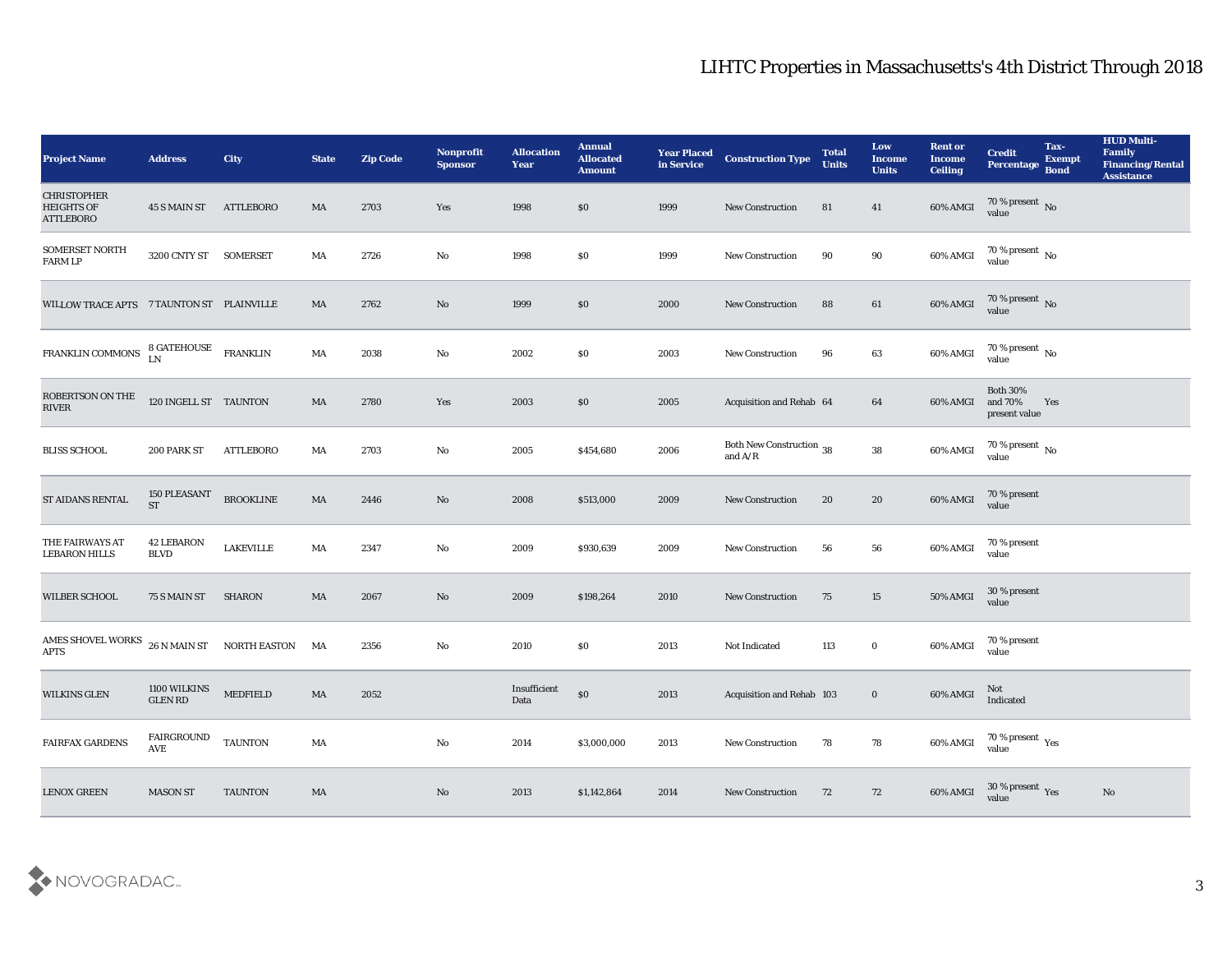| <b>Project Name</b>                                         | <b>Address</b>                   | City                | <b>State</b>           | <b>Zip Code</b> | Nonprofit<br><b>Sponsor</b> | <b>Allocation</b><br><b>Year</b> | <b>Annual</b><br><b>Allocated</b><br><b>Amount</b> | <b>Year Placed<br/>in Service</b> | <b>Construction Type</b>                                                                        | <b>Total</b><br><b>Units</b> | Low<br><b>Income</b><br><b>Units</b> | <b>Rent or</b><br><b>Income</b><br><b>Ceiling</b> | <b>Credit</b><br>Percentage                 | Tax-<br><b>Exempt</b><br>Bond | <b>HUD Multi-</b><br>Family<br><b>Financing/Rental</b><br><b>Assistance</b> |
|-------------------------------------------------------------|----------------------------------|---------------------|------------------------|-----------------|-----------------------------|----------------------------------|----------------------------------------------------|-----------------------------------|-------------------------------------------------------------------------------------------------|------------------------------|--------------------------------------|---------------------------------------------------|---------------------------------------------|-------------------------------|-----------------------------------------------------------------------------|
| <b>CHRISTOPHER</b><br><b>HEIGHTS OF</b><br><b>ATTLEBORO</b> | 45 S MAIN ST                     | <b>ATTLEBORO</b>    | MA                     | 2703            | Yes                         | 1998                             | \$0                                                | 1999                              | New Construction                                                                                | 81                           | 41                                   | 60% AMGI                                          | $70\,\%$ present $\,$ No value              |                               |                                                                             |
| SOMERSET NORTH<br><b>FARM LP</b>                            | 3200 CNTY ST SOMERSET            |                     | MA                     | 2726            | No                          | 1998                             | \$0                                                | 1999                              | New Construction                                                                                | 90                           | 90                                   | 60% AMGI                                          | $70\,\%$ present $\,$ No value              |                               |                                                                             |
| WILLOW TRACE APTS 7 TAUNTON ST PLAINVILLE                   |                                  |                     | MA                     | 2762            | No                          | 1999                             | \$0                                                | 2000                              | <b>New Construction</b>                                                                         | 88                           | 61                                   | 60% AMGI                                          | $70\,\%$ present $\,$ No value              |                               |                                                                             |
| FRANKLIN COMMONS                                            | <b>8 GATEHOUSE</b><br>LN         | <b>FRANKLIN</b>     | MA                     | 2038            | No                          | 2002                             | \$0                                                | 2003                              | <b>New Construction</b>                                                                         | 96                           | 63                                   | 60% AMGI                                          | $70\,\%$ present $\,$ No value              |                               |                                                                             |
| ROBERTSON ON THE<br>$\ensuremath{\text{RIVER}}$             | 120 INGELL ST TAUNTON            |                     | MA                     | 2780            | Yes                         | 2003                             | \$0                                                | 2005                              | Acquisition and Rehab 64                                                                        |                              | 64                                   | 60% AMGI                                          | <b>Both 30%</b><br>and 70%<br>present value | Yes                           |                                                                             |
| <b>BLISS SCHOOL</b>                                         | 200 PARK ST                      | ATTLEBORO           | MA                     | 2703            | No                          | 2005                             | \$454,680                                          | 2006                              | Both New Construction 38<br>and $\ensuremath{\mathrm{A}}\xspace/\ensuremath{\mathrm{R}}\xspace$ |                              | 38                                   | 60% AMGI                                          | $70\,\%$ present $\,$ No value              |                               |                                                                             |
| ST AIDANS RENTAL                                            | 150 PLEASANT<br><b>ST</b>        | <b>BROOKLINE</b>    | MA                     | 2446            | No                          | 2008                             | \$513,000                                          | 2009                              | New Construction                                                                                | 20                           | 20                                   | 60% AMGI                                          | 70 % present<br>value                       |                               |                                                                             |
| THE FAIRWAYS AT<br><b>LEBARON HILLS</b>                     | <b>42 LEBARON</b><br><b>BLVD</b> | <b>LAKEVILLE</b>    | MA                     | 2347            | No                          | 2009                             | \$930,639                                          | 2009                              | <b>New Construction</b>                                                                         | 56                           | 56                                   | 60% AMGI                                          | 70 % present<br>value                       |                               |                                                                             |
| <b>WILBER SCHOOL</b>                                        | 75 S MAIN ST                     | <b>SHARON</b>       | MA                     | 2067            | No                          | 2009                             | \$198,264                                          | 2010                              | <b>New Construction</b>                                                                         | 75                           | 15                                   | 50% AMGI                                          | 30 % present<br>value                       |                               |                                                                             |
| AMES SHOVEL WORKS $_{26}$ N MAIN ST<br><b>APTS</b>          |                                  | <b>NORTH EASTON</b> | MA                     | 2356            | No                          | 2010                             | \$0                                                | 2013                              | Not Indicated                                                                                   | 113                          | $\bf{0}$                             | 60% AMGI                                          | 70 % present<br>value                       |                               |                                                                             |
| <b>WILKINS GLEN</b>                                         | 1100 WILKINS<br><b>GLEN RD</b>   | <b>MEDFIELD</b>     | MA                     | 2052            |                             | Insufficient<br>Data             | \$0\$                                              | 2013                              | <b>Acquisition and Rehab 103</b>                                                                |                              | $\bf{0}$                             | 60% AMGI                                          | Not<br>Indicated                            |                               |                                                                             |
| <b>FAIRFAX GARDENS</b>                                      | FAIRGROUND<br>AVE                | <b>TAUNTON</b>      | $\mathbf{M}\mathbf{A}$ |                 | $\mathbf {No}$              | 2014                             | \$3,000,000                                        | 2013                              | <b>New Construction</b>                                                                         | 78                           | ${\bf 78}$                           | 60% AMGI                                          | $70\,\%$ present $\,$ Yes value             |                               |                                                                             |
| <b>LENOX GREEN</b>                                          | <b>MASON ST</b>                  | <b>TAUNTON</b>      | $\mathbf{M}\mathbf{A}$ |                 | $\rm\thinspace No$          | 2013                             | \$1,142,864                                        | 2014                              | <b>New Construction</b>                                                                         | 72                           | 72                                   | 60% AMGI                                          | $30\,\%$ present $\,\mathrm{Yes}$ value     |                               | No                                                                          |